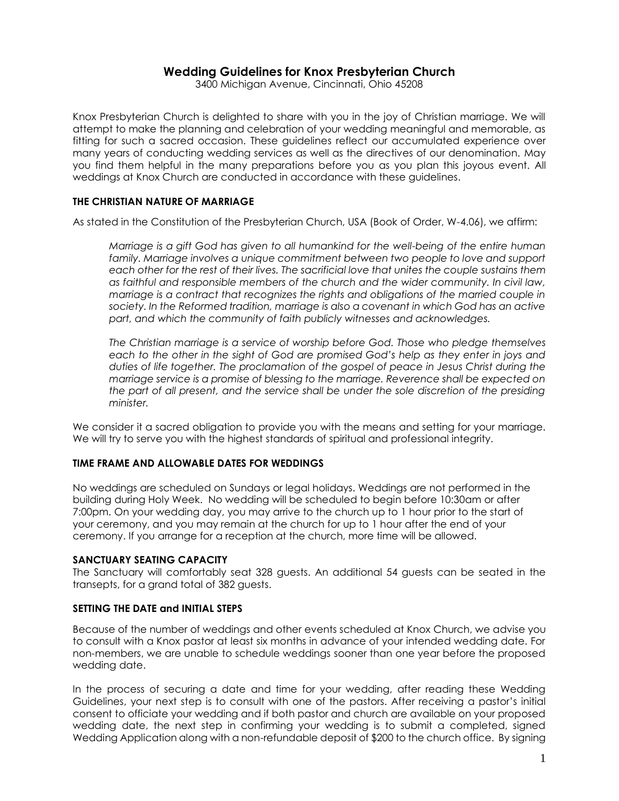# **Wedding Guidelines for Knox Presbyterian Church**

3400 Michigan Avenue, Cincinnati, Ohio 45208

Knox Presbyterian Church is delighted to share with you in the joy of Christian marriage. We will attempt to make the planning and celebration of your wedding meaningful and memorable, as fitting for such a sacred occasion. These guidelines reflect our accumulated experience over many years of conducting wedding services as well as the directives of our denomination. May you find them helpful in the many preparations before you as you plan this joyous event. All weddings at Knox Church are conducted in accordance with these guidelines.

### **THE CHRISTIAN NATURE OF MARRIAGE**

As stated in the Constitution of the Presbyterian Church, USA (Book of Order, W-4.06), we affirm:

*Marriage is a gift God has given to all humankind for the well-being of the entire human family. Marriage involves a unique commitment between two people to love and support each other for the rest of their lives. The sacrificial love that unites the couple sustains them as faithful and responsible members of the church and the wider community. In civil law, marriage is a contract that recognizes the rights and obligations of the married couple in society. In the Reformed tradition, marriage is also a covenant in which God has an active part, and which the community of faith publicly witnesses and acknowledges.* 

*The Christian marriage is a service of worship before God. Those who pledge themselves each to the other in the sight of God are promised God's help as they enter in joys and duties of life together. The proclamation of the gospel of peace in Jesus Christ during the marriage service is a promise of blessing to the marriage. Reverence shall be expected on the part of all present, and the service shall be under the sole discretion of the presiding minister.*

We consider it a sacred obligation to provide you with the means and setting for your marriage. We will try to serve you with the highest standards of spiritual and professional integrity.

#### **TIME FRAME AND ALLOWABLE DATES FOR WEDDINGS**

No weddings are scheduled on Sundays or legal holidays. Weddings are not performed in the building during Holy Week. No wedding will be scheduled to begin before 10:30am or after 7:00pm. On your wedding day, you may arrive to the church up to 1 hour prior to the start of your ceremony, and you may remain at the church for up to 1 hour after the end of your ceremony. If you arrange for a reception at the church, more time will be allowed.

#### **SANCTUARY SEATING CAPACITY**

The Sanctuary will comfortably seat 328 guests. An additional 54 guests can be seated in the transepts, for a grand total of 382 guests.

### **SETTING THE DATE and INITIAL STEPS**

Because of the number of weddings and other events scheduled at Knox Church, we advise you to consult with a Knox pastor at least six months in advance of your intended wedding date. For non-members, we are unable to schedule weddings sooner than one year before the proposed wedding date.

In the process of securing a date and time for your wedding, after reading these Wedding Guidelines, your next step is to consult with one of the pastors. After receiving a pastor's initial consent to officiate your wedding and if both pastor and church are available on your proposed wedding date, the next step in confirming your wedding is to submit a completed, signed Wedding Application along with a non-refundable deposit of \$200 to the church office. By signing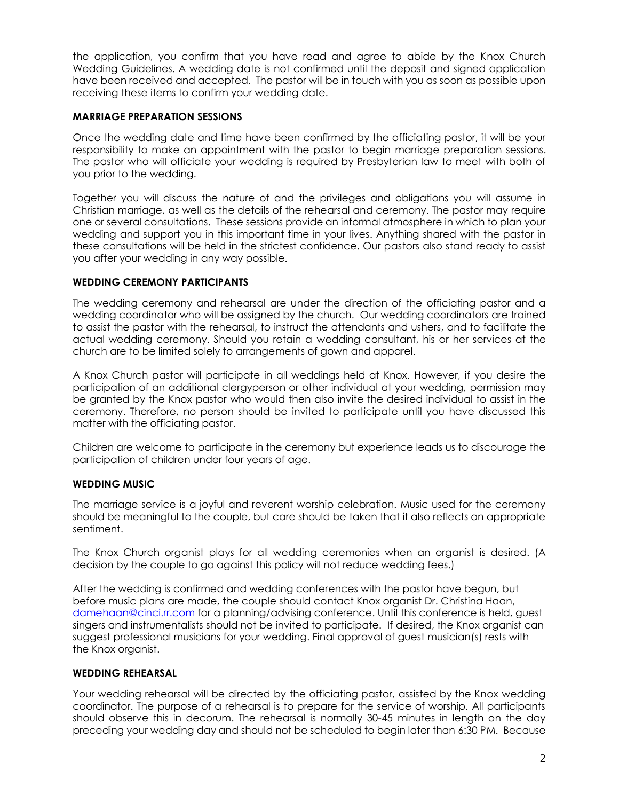the application, you confirm that you have read and agree to abide by the Knox Church Wedding Guidelines. A wedding date is not confirmed until the deposit and signed application have been received and accepted. The pastor will be in touch with you as soon as possible upon receiving these items to confirm your wedding date.

# **MARRIAGE PREPARATION SESSIONS**

Once the wedding date and time have been confirmed by the officiating pastor, it will be your responsibility to make an appointment with the pastor to begin marriage preparation sessions. The pastor who will officiate your wedding is required by Presbyterian law to meet with both of you prior to the wedding.

Together you will discuss the nature of and the privileges and obligations you will assume in Christian marriage, as well as the details of the rehearsal and ceremony. The pastor may require one or several consultations. These sessions provide an informal atmosphere in which to plan your wedding and support you in this important time in your lives. Anything shared with the pastor in these consultations will be held in the strictest confidence. Our pastors also stand ready to assist you after your wedding in any way possible.

### **WEDDING CEREMONY PARTICIPANTS**

The wedding ceremony and rehearsal are under the direction of the officiating pastor and a wedding coordinator who will be assigned by the church. Our wedding coordinators are trained to assist the pastor with the rehearsal, to instruct the attendants and ushers, and to facilitate the actual wedding ceremony. Should you retain a wedding consultant, his or her services at the church are to be limited solely to arrangements of gown and apparel.

A Knox Church pastor will participate in all weddings held at Knox. However, if you desire the participation of an additional clergyperson or other individual at your wedding, permission may be granted by the Knox pastor who would then also invite the desired individual to assist in the ceremony. Therefore, no person should be invited to participate until you have discussed this matter with the officiating pastor.

Children are welcome to participate in the ceremony but experience leads us to discourage the participation of children under four years of age.

### **WEDDING MUSIC**

The marriage service is a joyful and reverent worship celebration. Music used for the ceremony should be meaningful to the couple, but care should be taken that it also reflects an appropriate sentiment.

The Knox Church organist plays for all wedding ceremonies when an organist is desired. (A decision by the couple to go against this policy will not reduce wedding fees.)

After the wedding is confirmed and wedding conferences with the pastor have begun, but before music plans are made, the couple should contact Knox organist Dr. Christina Haan, [damehaan@cinci.rr.com](mailto:damehaan@cinci.rr.com) for a planning/advising conference. Until this conference is held, guest singers and instrumentalists should not be invited to participate. If desired, the Knox organist can suggest professional musicians for your wedding. Final approval of guest musician(s) rests with the Knox organist.

### **WEDDING REHEARSAL**

Your wedding rehearsal will be directed by the officiating pastor, assisted by the Knox wedding coordinator. The purpose of a rehearsal is to prepare for the service of worship. All participants should observe this in decorum. The rehearsal is normally 30-45 minutes in length on the day preceding your wedding day and should not be scheduled to begin later than 6:30 PM. Because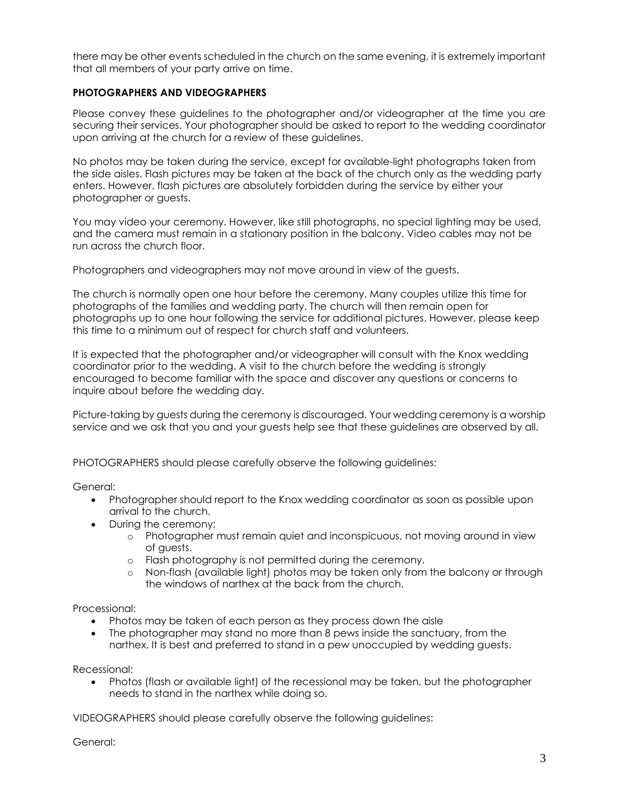there may be other events scheduled in the church on the same evening, it is extremely important that all members of your party arrive on time.

# **PHOTOGRAPHERS AND VIDEOGRAPHERS**

Please convey these guidelines to the photographer and/or videographer at the time you are securing their services. Your photographer should be asked to report to the wedding coordinator upon arriving at the church for a review of these guidelines.

No photos may be taken during the service, except for available-light photographs taken from the side aisles. Flash pictures may be taken at the back of the church only as the wedding party enters. However, flash pictures are absolutely forbidden during the service by either your photographer or guests.

You may video your ceremony. However, like still photographs, no special lighting may be used, and the camera must remain in a stationary position in the balcony. Video cables may not be run across the church floor.

Photographers and videographers may not move around in view of the guests.

The church is normally open one hour before the ceremony. Many couples utilize this time for photographs of the families and wedding party. The church will then remain open for photographs up to one hour following the service for additional pictures. However, please keep this time to a minimum out of respect for church staff and volunteers.

It is expected that the photographer and/or videographer will consult with the Knox wedding coordinator prior to the wedding. A visit to the church before the wedding is strongly encouraged to become familiar with the space and discover any questions or concerns to inquire about before the wedding day.

Picture-taking by guests during the ceremony is discouraged. Your wedding ceremony is a worship service and we ask that you and your guests help see that these guidelines are observed by all.

PHOTOGRAPHERS should please carefully observe the following guidelines:

General:

- Photographer should report to the Knox wedding coordinator as soon as possible upon arrival to the church.
- During the ceremony:
	- o Photographer must remain quiet and inconspicuous, not moving around in view of guests.
	- o Flash photography is not permitted during the ceremony.
	- o Non-flash (available light) photos may be taken only from the balcony or through the windows of narthex at the back from the church.

Processional:

- Photos may be taken of each person as they process down the aisle
- The photographer may stand no more than 8 pews inside the sanctuary, from the narthex. It is best and preferred to stand in a pew unoccupied by wedding guests.

Recessional:

• Photos (flash or available light) of the recessional may be taken, but the photographer needs to stand in the narthex while doing so.

VIDEOGRAPHERS should please carefully observe the following guidelines:

General: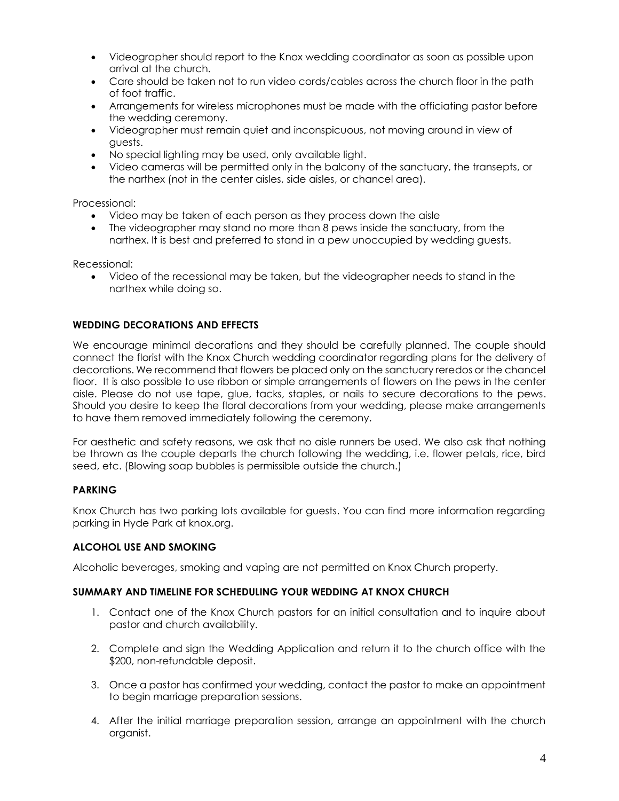- Videographer should report to the Knox wedding coordinator as soon as possible upon arrival at the church.
- Care should be taken not to run video cords/cables across the church floor in the path of foot traffic.
- Arrangements for wireless microphones must be made with the officiating pastor before the wedding ceremony.
- Videographer must remain quiet and inconspicuous, not moving around in view of guests.
- No special lighting may be used, only available light.
- Video cameras will be permitted only in the balcony of the sanctuary, the transepts, or the narthex (not in the center aisles, side aisles, or chancel area).

Processional:

- Video may be taken of each person as they process down the aisle
- The videographer may stand no more than 8 pews inside the sanctuary, from the narthex. It is best and preferred to stand in a pew unoccupied by wedding guests.

Recessional:

• Video of the recessional may be taken, but the videographer needs to stand in the narthex while doing so.

### **WEDDING DECORATIONS AND EFFECTS**

We encourage minimal decorations and they should be carefully planned. The couple should connect the florist with the Knox Church wedding coordinator regarding plans for the delivery of decorations. We recommend that flowers be placed only on the sanctuary reredos or the chancel floor. It is also possible to use ribbon or simple arrangements of flowers on the pews in the center aisle. Please do not use tape, glue, tacks, staples, or nails to secure decorations to the pews. Should you desire to keep the floral decorations from your wedding, please make arrangements to have them removed immediately following the ceremony.

For aesthetic and safety reasons, we ask that no aisle runners be used. We also ask that nothing be thrown as the couple departs the church following the wedding, i.e. flower petals, rice, bird seed, etc. (Blowing soap bubbles is permissible outside the church.)

### **PARKING**

Knox Church has two parking lots available for guests. You can find more information regarding parking in Hyde Park at knox.org.

### **ALCOHOL USE AND SMOKING**

Alcoholic beverages, smoking and vaping are not permitted on Knox Church property.

### **SUMMARY AND TIMELINE FOR SCHEDULING YOUR WEDDING AT KNOX CHURCH**

- 1. Contact one of the Knox Church pastors for an initial consultation and to inquire about pastor and church availability.
- 2. Complete and sign the Wedding Application and return it to the church office with the \$200, non-refundable deposit.
- 3. Once a pastor has confirmed your wedding, contact the pastor to make an appointment to begin marriage preparation sessions.
- 4. After the initial marriage preparation session, arrange an appointment with the church organist.